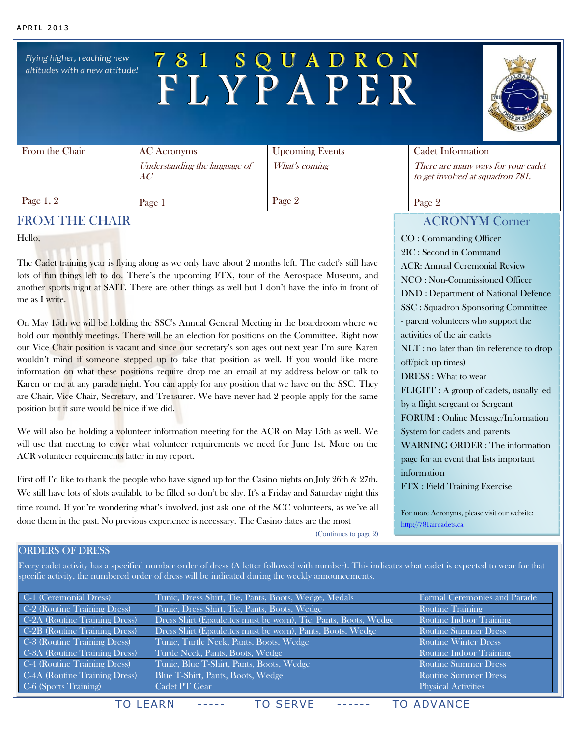*Flying higher, reaching new altitudes with a new attitude!*

# 7 8 1 S Q U A D R O N F L Y P A P E R

### From the Chair

AC Acronyms Understanding the language of AC

Page 1

Upcoming Events What's coming

Page 2

## FROM THE CHAIR

Hello,

Page 1, 2

The Cadet training year is flying along as we only have about 2 months left. The cadet's still have lots of fun things left to do. There's the upcoming FTX, tour of the Aerospace Museum, and another sports night at SAIT. There are other things as well but I don't have the info in front of me as I write.

On May 15th we will be holding the SSC's Annual General Meeting in the boardroom where we hold our monthly meetings. There will be an election for positions on the Committee. Right now our Vice Chair position is vacant and since our secretary's son ages out next year I'm sure Karen wouldn't mind if someone stepped up to take that position as well. If you would like more information on what these positions require drop me an email at my address below or talk to Karen or me at any parade night. You can apply for any position that we have on the SSC. They are Chair, Vice Chair, Secretary, and Treasurer. We have never had 2 people apply for the same position but it sure would be nice if we did.

We will also be holding a volunteer information meeting for the ACR on May 15th as well. We will use that meeting to cover what volunteer requirements we need for June 1st. More on the ACR volunteer requirements latter in my report.

First off I'd like to thank the people who have signed up for the Casino nights on July 26th & 27th. We still have lots of slots available to be filled so don't be shy. It's a Friday and Saturday night this time round. If you're wondering what's involved, just ask one of the SCC volunteers, as we've all done them in the past. No previous experience is necessary. The Casino dates are the most

### Cadet Information

There are many ways for your cadet to get involved at squadron 781.

Page 2

### ACRONYM Corner

CO : Commanding Officer 2IC : Second in Command ACR: Annual Ceremonial Review NCO : Non-Commissioned Officer DND : Department of National Defence SSC : Squadron Sponsoring Committee - parent volunteers who support the activities of the air cadets NLT : no later than (in reference to drop off/pick up times) DRESS : What to wear FLIGHT : A group of cadets, usually led by a flight sergeant or Sergeant FORUM : Online Message/Information System for cadets and parents WARNING ORDER : The information page for an event that lists important information

FTX : Field Training Exercise

For more Acronyms, please visit our website: [http://781aircadets.ca](http://781aircadets.ca/)

(Continues to page 2)

### ORDERS OF DRESS

Every cadet activity has a specified number order of dress (A letter followed with number). This indicates what cadet is expected to wear for that specific activity, the numbered order of dress will be indicated during the weekly announcements.

| Tunic, Dress Shirt, Tie, Pants, Boots, Wedge, Medals            | Formal Ceremonies and Parade   |
|-----------------------------------------------------------------|--------------------------------|
| Tunic, Dress Shirt, Tie, Pants, Boots, Wedge                    | <b>Routine Training</b>        |
| Dress Shirt (Epaulettes must be worn), Tie, Pants, Boots, Wedge | <b>Routine Indoor Training</b> |
| Dress Shirt (Epaulettes must be worn), Pants, Boots, Wedge      | <b>Routine Summer Dress</b>    |
| Tunic, Turtle Neck, Pants, Boots, Wedge                         | <b>Routine Winter Dress</b>    |
| Turtle Neck, Pants, Boots, Wedge                                | <b>Routine Indoor Training</b> |
| Tunic, Blue T-Shirt, Pants, Boots, Wedge                        | Routine Summer Dress           |
| Blue T-Shirt, Pants, Boots, Wedge                               | <b>Routine Summer Dress</b>    |
| Cadet PT Gear                                                   | <b>Physical Activities</b>     |
|                                                                 |                                |

TO LEARN ----- TO SERVE ------ TO ADVANCE